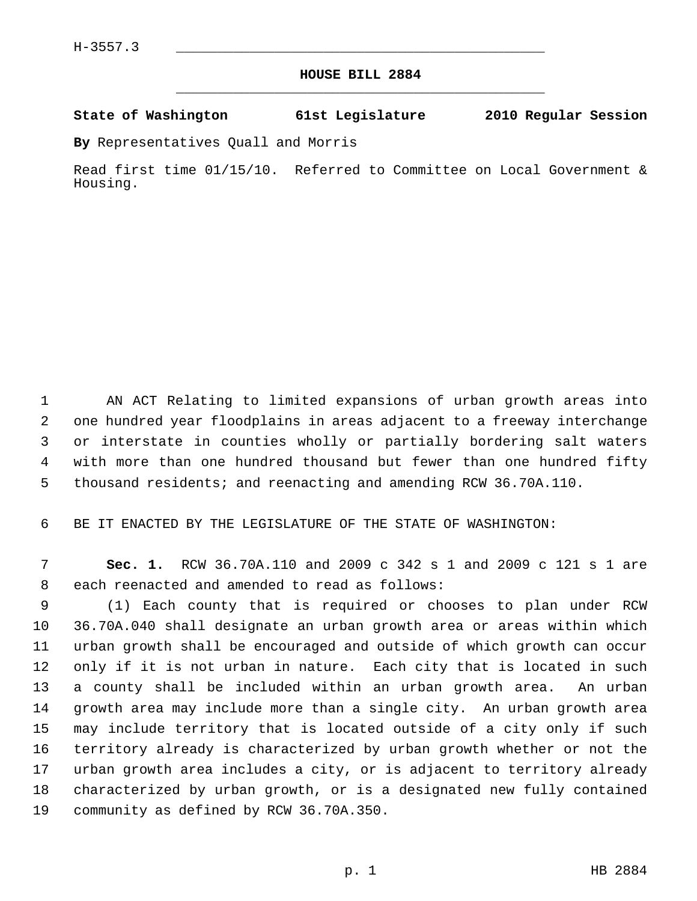## **HOUSE BILL 2884** \_\_\_\_\_\_\_\_\_\_\_\_\_\_\_\_\_\_\_\_\_\_\_\_\_\_\_\_\_\_\_\_\_\_\_\_\_\_\_\_\_\_\_\_\_

## **State of Washington 61st Legislature 2010 Regular Session**

**By** Representatives Quall and Morris

Read first time 01/15/10. Referred to Committee on Local Government & Housing.

 1 AN ACT Relating to limited expansions of urban growth areas into 2 one hundred year floodplains in areas adjacent to a freeway interchange 3 or interstate in counties wholly or partially bordering salt waters 4 with more than one hundred thousand but fewer than one hundred fifty 5 thousand residents; and reenacting and amending RCW 36.70A.110.

6 BE IT ENACTED BY THE LEGISLATURE OF THE STATE OF WASHINGTON:

 7 **Sec. 1.** RCW 36.70A.110 and 2009 c 342 s 1 and 2009 c 121 s 1 are 8 each reenacted and amended to read as follows:

 9 (1) Each county that is required or chooses to plan under RCW 10 36.70A.040 shall designate an urban growth area or areas within which 11 urban growth shall be encouraged and outside of which growth can occur 12 only if it is not urban in nature. Each city that is located in such 13 a county shall be included within an urban growth area. An urban 14 growth area may include more than a single city. An urban growth area 15 may include territory that is located outside of a city only if such 16 territory already is characterized by urban growth whether or not the 17 urban growth area includes a city, or is adjacent to territory already 18 characterized by urban growth, or is a designated new fully contained 19 community as defined by RCW 36.70A.350.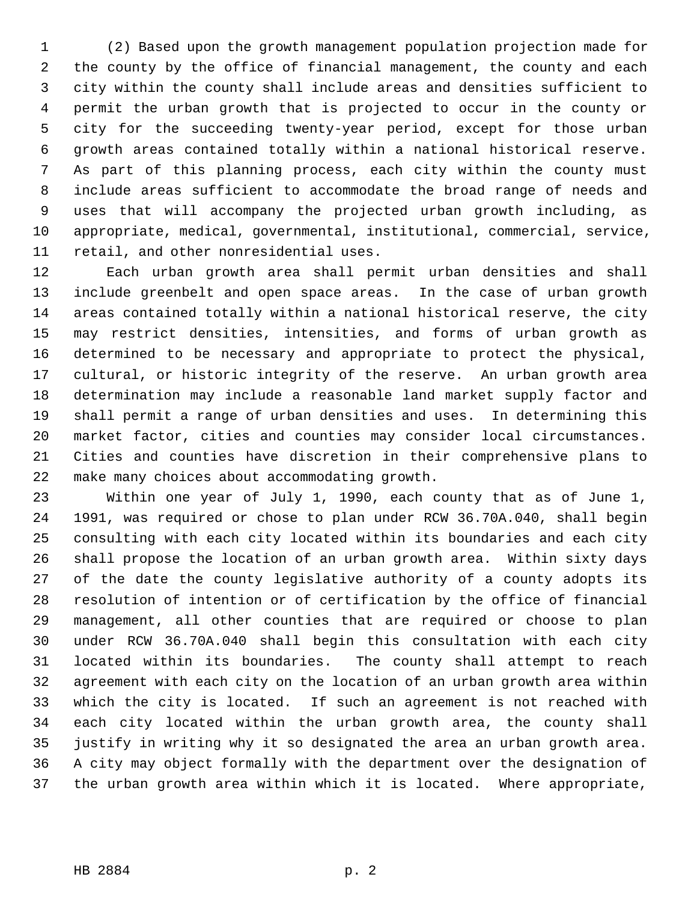1 (2) Based upon the growth management population projection made for 2 the county by the office of financial management, the county and each 3 city within the county shall include areas and densities sufficient to 4 permit the urban growth that is projected to occur in the county or 5 city for the succeeding twenty-year period, except for those urban 6 growth areas contained totally within a national historical reserve. 7 As part of this planning process, each city within the county must 8 include areas sufficient to accommodate the broad range of needs and 9 uses that will accompany the projected urban growth including, as 10 appropriate, medical, governmental, institutional, commercial, service, 11 retail, and other nonresidential uses.

12 Each urban growth area shall permit urban densities and shall 13 include greenbelt and open space areas. In the case of urban growth 14 areas contained totally within a national historical reserve, the city 15 may restrict densities, intensities, and forms of urban growth as 16 determined to be necessary and appropriate to protect the physical, 17 cultural, or historic integrity of the reserve. An urban growth area 18 determination may include a reasonable land market supply factor and 19 shall permit a range of urban densities and uses. In determining this 20 market factor, cities and counties may consider local circumstances. 21 Cities and counties have discretion in their comprehensive plans to 22 make many choices about accommodating growth.

23 Within one year of July 1, 1990, each county that as of June 1, 24 1991, was required or chose to plan under RCW 36.70A.040, shall begin 25 consulting with each city located within its boundaries and each city 26 shall propose the location of an urban growth area. Within sixty days 27 of the date the county legislative authority of a county adopts its 28 resolution of intention or of certification by the office of financial 29 management, all other counties that are required or choose to plan 30 under RCW 36.70A.040 shall begin this consultation with each city 31 located within its boundaries. The county shall attempt to reach 32 agreement with each city on the location of an urban growth area within 33 which the city is located. If such an agreement is not reached with 34 each city located within the urban growth area, the county shall 35 justify in writing why it so designated the area an urban growth area. 36 A city may object formally with the department over the designation of 37 the urban growth area within which it is located. Where appropriate,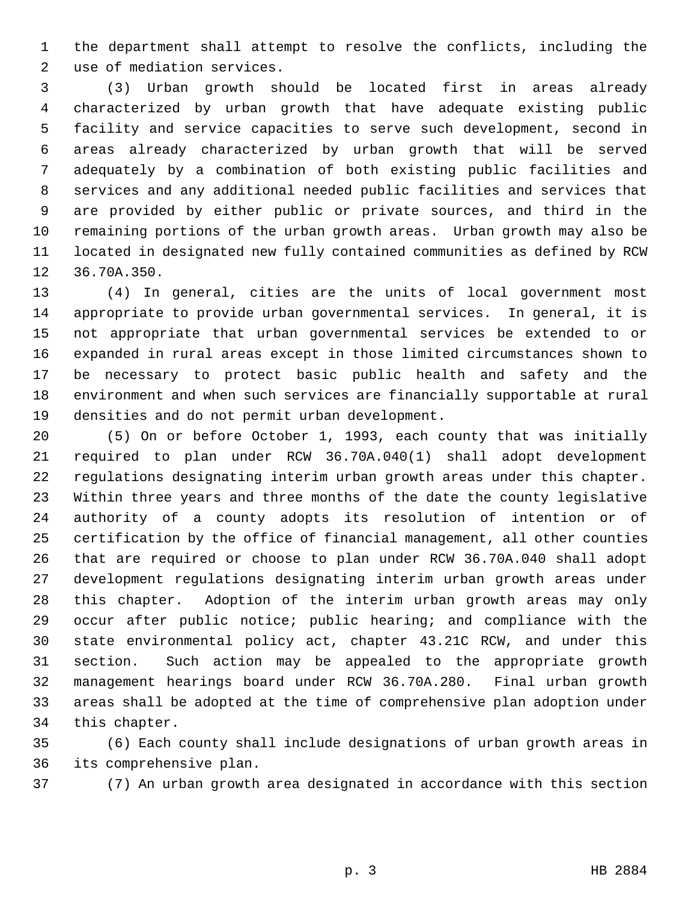1 the department shall attempt to resolve the conflicts, including the 2 use of mediation services.

 3 (3) Urban growth should be located first in areas already 4 characterized by urban growth that have adequate existing public 5 facility and service capacities to serve such development, second in 6 areas already characterized by urban growth that will be served 7 adequately by a combination of both existing public facilities and 8 services and any additional needed public facilities and services that 9 are provided by either public or private sources, and third in the 10 remaining portions of the urban growth areas. Urban growth may also be 11 located in designated new fully contained communities as defined by RCW 12 36.70A.350.

13 (4) In general, cities are the units of local government most 14 appropriate to provide urban governmental services. In general, it is 15 not appropriate that urban governmental services be extended to or 16 expanded in rural areas except in those limited circumstances shown to 17 be necessary to protect basic public health and safety and the 18 environment and when such services are financially supportable at rural 19 densities and do not permit urban development.

20 (5) On or before October 1, 1993, each county that was initially 21 required to plan under RCW 36.70A.040(1) shall adopt development 22 regulations designating interim urban growth areas under this chapter. 23 Within three years and three months of the date the county legislative 24 authority of a county adopts its resolution of intention or of 25 certification by the office of financial management, all other counties 26 that are required or choose to plan under RCW 36.70A.040 shall adopt 27 development regulations designating interim urban growth areas under 28 this chapter. Adoption of the interim urban growth areas may only 29 occur after public notice; public hearing; and compliance with the 30 state environmental policy act, chapter 43.21C RCW, and under this 31 section. Such action may be appealed to the appropriate growth 32 management hearings board under RCW 36.70A.280. Final urban growth 33 areas shall be adopted at the time of comprehensive plan adoption under 34 this chapter.

35 (6) Each county shall include designations of urban growth areas in 36 its comprehensive plan.

37 (7) An urban growth area designated in accordance with this section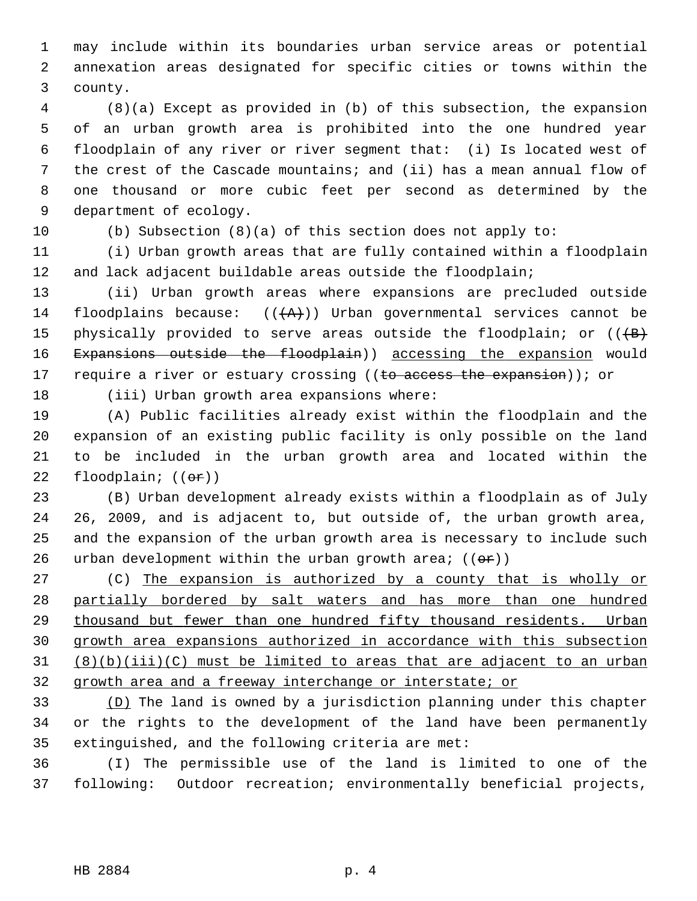1 may include within its boundaries urban service areas or potential 2 annexation areas designated for specific cities or towns within the 3 county.

 4 (8)(a) Except as provided in (b) of this subsection, the expansion 5 of an urban growth area is prohibited into the one hundred year 6 floodplain of any river or river segment that: (i) Is located west of 7 the crest of the Cascade mountains; and (ii) has a mean annual flow of 8 one thousand or more cubic feet per second as determined by the 9 department of ecology.

10 (b) Subsection (8)(a) of this section does not apply to:

11 (i) Urban growth areas that are fully contained within a floodplain 12 and lack adjacent buildable areas outside the floodplain;

13 (ii) Urban growth areas where expansions are precluded outside 14 floodplains because:  $((+A))$  Urban governmental services cannot be 15 physically provided to serve areas outside the floodplain; or  $((+B)$ 16 Expansions outside the floodplain)) accessing the expansion would 17 require a river or estuary crossing ((to access the expansion)); or

18 (iii) Urban growth area expansions where:

19 (A) Public facilities already exist within the floodplain and the 20 expansion of an existing public facility is only possible on the land 21 to be included in the urban growth area and located within the 22 floodplain;  $((\theta \cdot \mathbf{r}))$ 

23 (B) Urban development already exists within a floodplain as of July 24 26, 2009, and is adjacent to, but outside of, the urban growth area, 25 and the expansion of the urban growth area is necessary to include such 26 urban development within the urban growth area;  $((\theta \hat{r}))$ 

27 (C) The expansion is authorized by a county that is wholly or partially bordered by salt waters and has more than one hundred thousand but fewer than one hundred fifty thousand residents. Urban growth area expansions authorized in accordance with this subsection (8)(b)(iii)(C) must be limited to areas that are adjacent to an urban growth area and a freeway interchange or interstate; or

33 (D) The land is owned by a jurisdiction planning under this chapter 34 or the rights to the development of the land have been permanently 35 extinguished, and the following criteria are met:

36 (I) The permissible use of the land is limited to one of the 37 following: Outdoor recreation; environmentally beneficial projects,